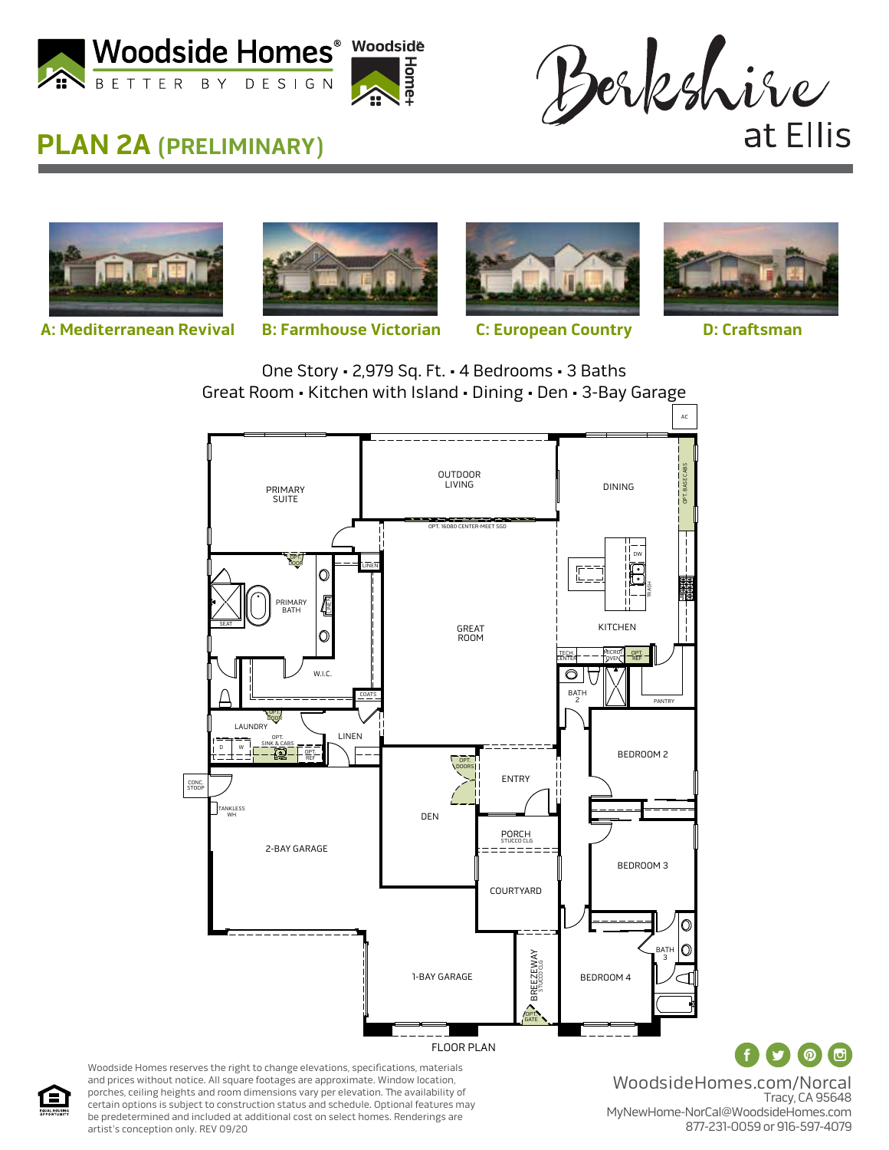



## **PLAN 2A (PRELIMINARY)**



**A: Mediterranean Revival B: Farmhouse Victorian C: European Country D: Craftsman** 



**+**

**H ome**



One Story • 2,979 Sq. Ft. • 4 Bedrooms • 3 Baths Great Room • Kitchen with Island • Dining • Den • 3-Bay Garage



Woodside Homes reserves the right to change elevations, specifications, materials and prices without notice. All square footages are approximate. Window location, porches, ceiling heights and room dimensions vary per elevation. The availability of certain options is subject to construction status and schedule. Optional features may be predetermined and included at additional cost on select homes. Renderings are artist's conception only. REV 09/20

WoodsideHomes.com/Norcal Tracy, CA 95648 MyNewHome-NorCal@WoodsideHomes.com 877-231-0059 or 916-597-4079